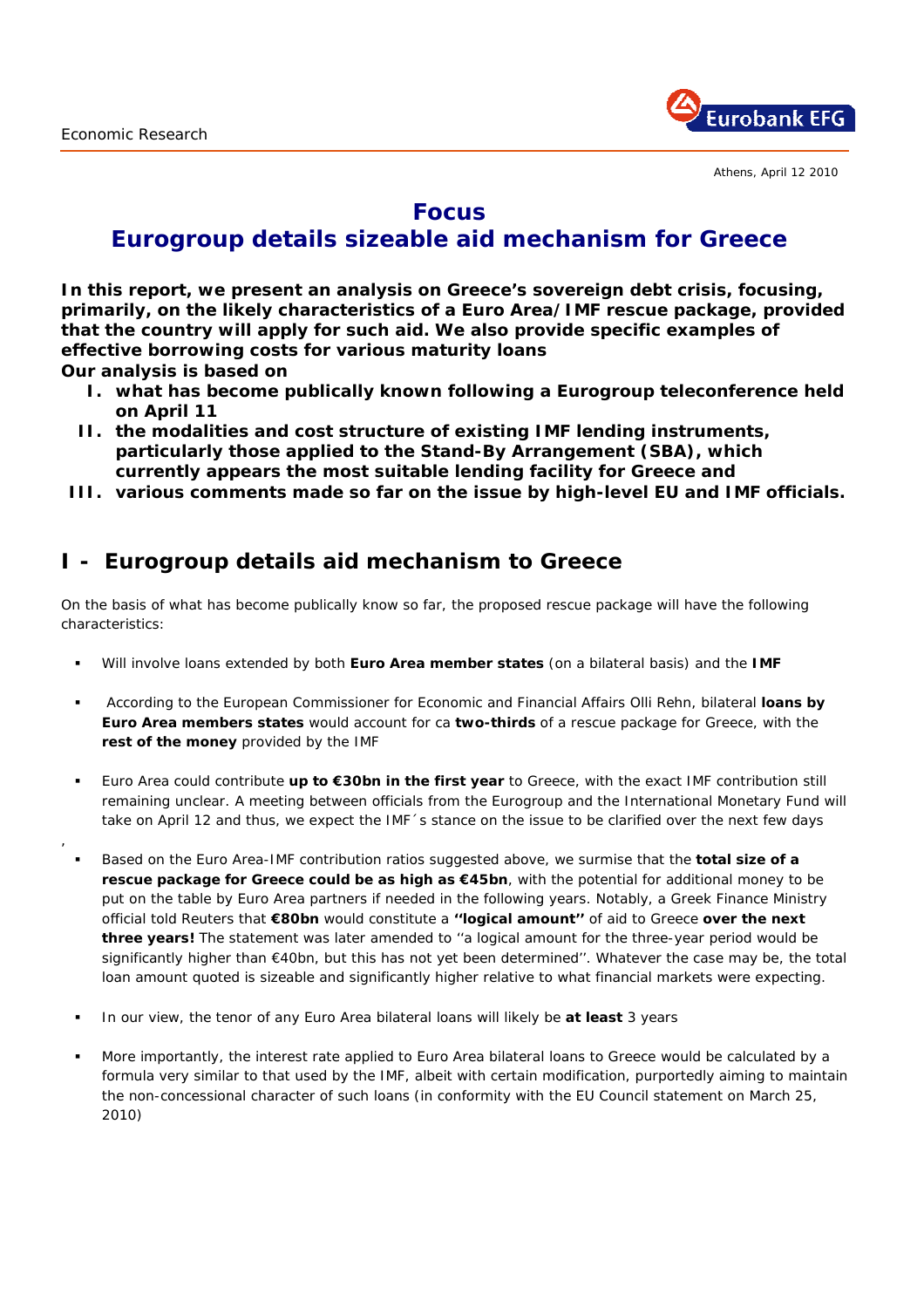,



## **Focus**

# **Eurogroup details sizeable aid mechanism for Greece**

**In this report, we present an analysis on Greece's sovereign debt crisis, focusing, primarily, on the likely characteristics of a Euro Area/IMF rescue package, provided that the country will apply for such aid. We also provide specific examples of effective borrowing costs for various maturity loans Our analysis is based on** 

**I. what has become publically known following a Eurogroup teleconference held on April 11** 

- **II. the modalities and cost structure of existing IMF lending instruments, particularly those applied to the Stand-By Arrangement (SBA), which currently appears the most suitable lending facility for Greece and**
- **III. various comments made so far on the issue by high-level EU and IMF officials.**

### **I - Eurogroup details aid mechanism to Greece**

On the basis of what has become publically know so far, the proposed rescue package will have the following characteristics:

- Will involve loans extended by both **Euro Area member states** (on a bilateral basis) and the **IMF**
- According to the European Commissioner for Economic and Financial Affairs Olli Rehn, bilateral **loans by Euro Area members states** would account for ca **two-thirds** of a rescue package for Greece, with the **rest of the money** provided by the IMF
- Euro Area could contribute **up to €30bn in the** *first* **year** to Greece, with the exact IMF contribution still remaining unclear. A meeting between officials from the Eurogroup and the International Monetary Fund will take on April 12 and thus, we expect the IMF 's stance on the issue to be clarified over the next few days
- Based on the Euro Area-IMF contribution ratios suggested above, we surmise that the **total size of a rescue package for Greece could be as high as €45bn**, with the potential for additional money to be put on the table by Euro Area partners if needed in the following years. Notably, a Greek Finance Ministry official told Reuters that **€80bn** would constitute a **''logical amount''** of aid to Greece **over the next three years!** The statement was later amended to ''a logical amount for the three-year period would be significantly higher than €40bn, but this has not yet been determined''. Whatever the case may be, the total loan amount quoted is sizeable and significantly higher relative to what financial markets were expecting.
- In our view, the tenor of any Euro Area bilateral loans will likely be *at least* 3 years
- More importantly, the interest rate applied to Euro Area bilateral loans to Greece would be calculated by a formula very similar to that used by the IMF, albeit with certain modification, purportedly aiming to maintain the non-concessional character of such loans *(in conformity with the EU Council statement on March 25, 2010)*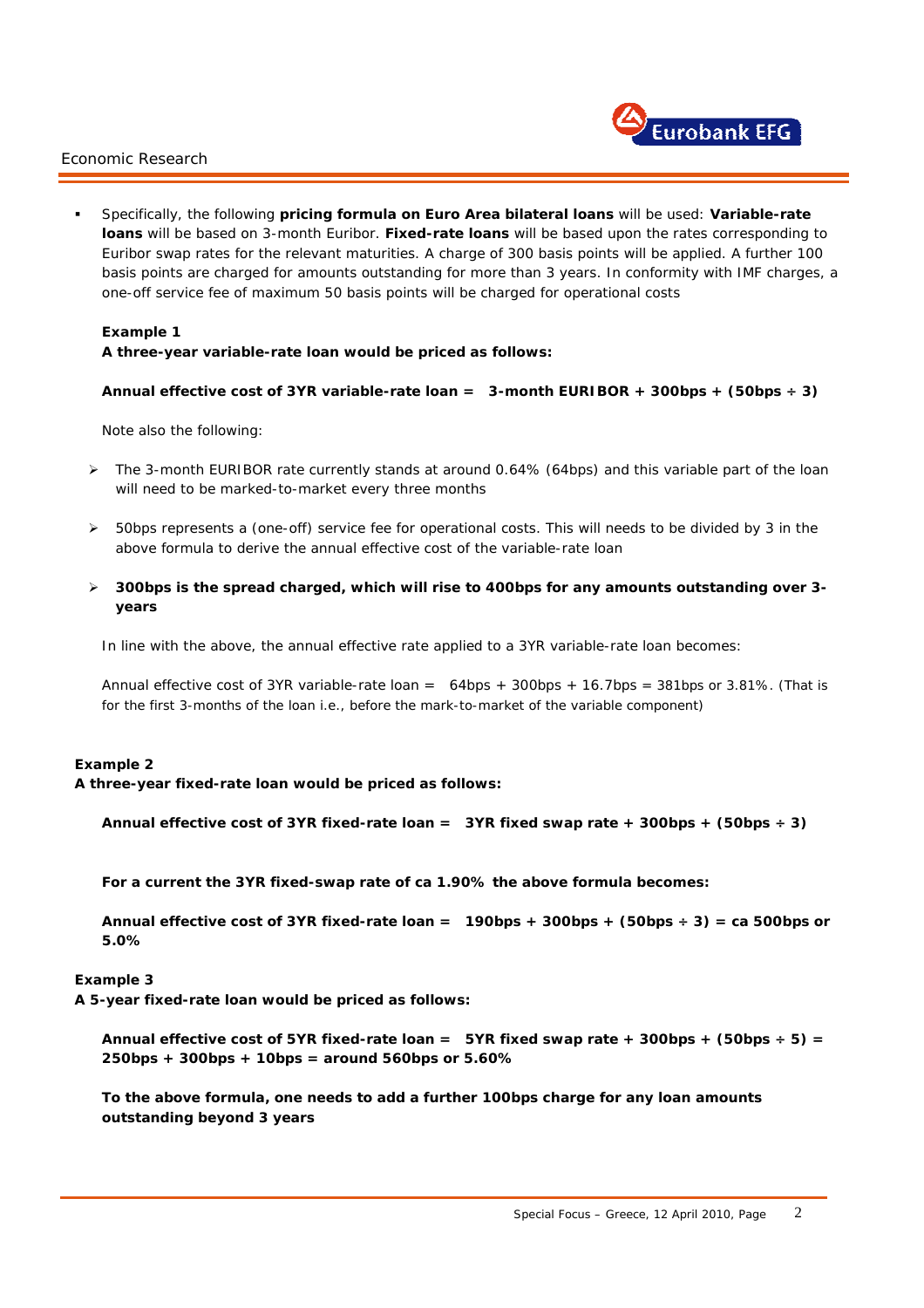

 Specifically, the following **pricing formula on Euro Area bilateral loans** will be used: **Variable-rate loans** will be based on 3-month Euribor. **Fixed-rate loans** will be based upon the rates corresponding to Euribor swap rates for the relevant maturities. A charge of 300 basis points will be applied. A further 100 basis points are charged for amounts outstanding for more than 3 years. In conformity with IMF charges, a one-off service fee of maximum 50 basis points will be charged for operational costs

#### **Example 1**

### **A three-year variable-rate loan would be priced as follows:**

#### **Annual** *effective* **cost of 3YR variable-rate loan = 3-month EURIBOR + 300bps + (50bps ÷ 3)**

Note also the following:

- ¾ The 3-month EURIBOR rate currently stands at around 0.64% (64bps) and this variable part of the loan will need to be marked-to-market every three months
- ¾ 50bps represents a (one-off) service fee for operational costs. This will needs to be divided by 3 in the above formula to derive the annual *effective* cost of the variable-rate loan
- ¾ **300bps is the spread charged, which will rise to 400bps for any amounts outstanding over 3 years**

In line with the above, the *annual* effective rate applied to a 3YR variable-rate loan becomes:

Annual *effective* cost of 3YR variable-rate loan = 64bps + 300bps + 16.7bps = 381bps or 3.81%. *(That is for the first 3-months of the loan i.e., before the mark-to-market of the variable component)* 

#### **Example 2**

**A three-year fixed-rate loan would be priced as follows:** 

```
Annual effective cost of 3YR fixed-rate loan = 3YR fixed swap rate + 300bps + (50bps ÷ 3)
```
**For a current the 3YR fixed-swap rate of ca 1.90% the above formula becomes:** 

**Annual** *effective* **cost of 3YR fixed-rate loan = 190bps + 300bps + (50bps ÷ 3) = ca 500bps or 5.0%** 

#### **Example 3**

i.

**A 5-year fixed-rate loan would be priced as follows:** 

Annual *effective* cost of 5YR fixed-rate loan = 5YR fixed swap rate + 300bps +  $(50bps + 5)$  = **250bps + 300bps + 10bps = around 560bps or 5.60%** 

**To the above formula, one needs to add a further 100bps charge for any loan amounts outstanding beyond 3 years**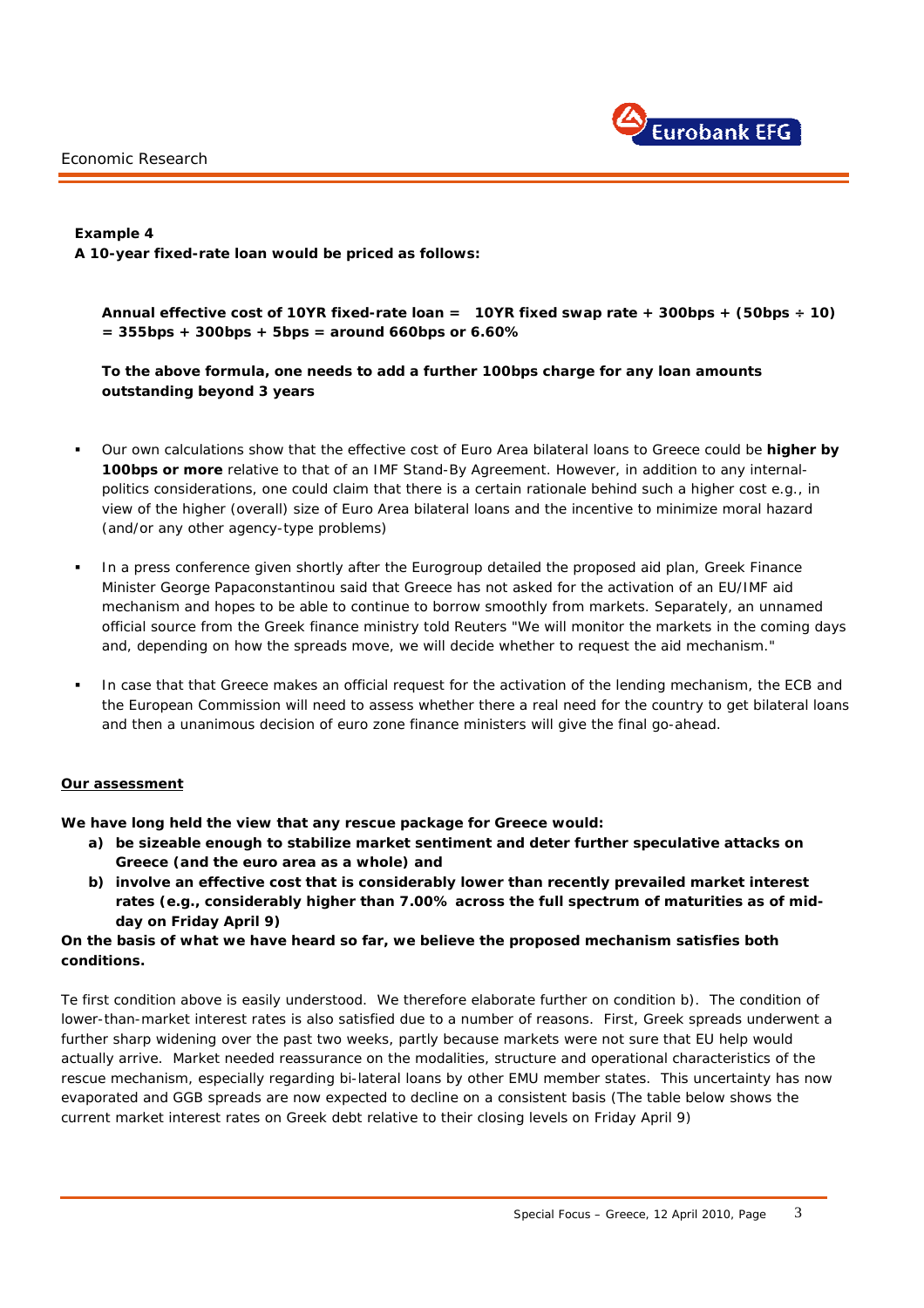

**Example 4 A 10-year fixed-rate loan would be priced as follows:** 

**Annual** *effective* **cost of 10YR fixed-rate loan = 10YR fixed swap rate + 300bps + (50bps ÷ 10) = 355bps + 300bps + 5bps = around 660bps or 6.60%** 

**To the above formula, one needs to add a further 100bps charge for any loan amounts outstanding beyond 3 years** 

- Our own calculations show that the effective cost of Euro Area bilateral loans to Greece could be **higher by 100bps or more** relative to that of an IMF Stand-By Agreement. However, in addition to any internalpolitics considerations, one could claim that there is a certain rationale behind such a higher cost *e.g.,* in view of the higher (overall) size of Euro Area bilateral loans and the incentive to minimize moral hazard *(and/or any other agency-type problems)*
- In a press conference given shortly after the Eurogroup detailed the proposed aid plan, Greek Finance Minister George Papaconstantinou said that Greece has not asked for the activation of an EU/IMF aid mechanism and hopes to be able to continue to borrow smoothly from markets. Separately, an unnamed official source from the Greek finance ministry told Reuters "We will monitor the markets in the coming days and, depending on how the spreads move, we will decide whether to request the aid mechanism."
- In case that that Greece makes an official request for the activation of the lending mechanism, the ECB and the European Commission will need to assess whether there a real need for the country to get bilateral loans and then a unanimous decision of euro zone finance ministers will give the final go-ahead.

#### **Our assessment**

i.

**We have long held the view that any rescue package for Greece would:** 

- **a) be sizeable enough to stabilize market sentiment and deter further speculative attacks on Greece** *(and the* **euro area as a whole) and**
- **b) involve an effective cost that is considerably lower than recently prevailed market interest rates** *(e.g., considerably higher than 7.00% across the full spectrum of maturities as of midday on Friday April 9)*

#### **On the basis of what we have heard so far, we believe the proposed mechanism satisfies both conditions.**

Te first condition above is easily understood. We therefore elaborate further on condition b). The condition of lower-than-market interest rates is also satisfied due to a number of reasons. First, Greek spreads underwent a further sharp widening over the past two weeks, partly because markets were not sure that EU help would actually arrive. Market needed reassurance on the modalities, structure and operational characteristics of the rescue mechanism, especially regarding bi-lateral loans by other EMU member states. This uncertainty has now evaporated and GGB spreads are now expected to decline on a consistent basis *(The table below shows the current market interest rates on Greek debt relative to their closing levels on Friday April 9)*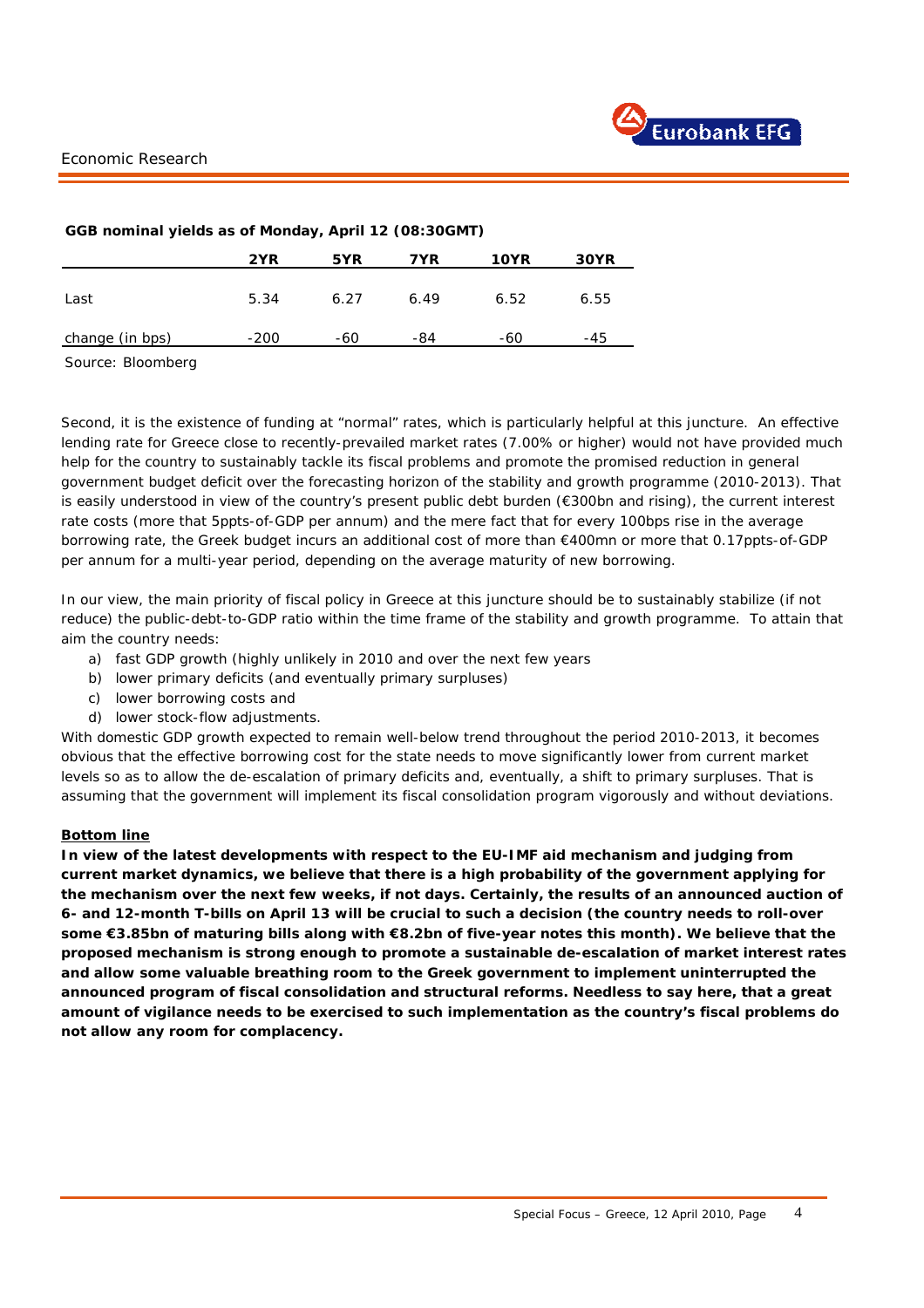| GGB nominal yields as of Monday, April 12 (08:30GMT) |        |      |      |             |      |  |
|------------------------------------------------------|--------|------|------|-------------|------|--|
|                                                      | 2YR    | 5YR  | 7YR  | <b>10YR</b> | 30YR |  |
| Last                                                 | 5.34   | 6.27 | 6.49 | 6.52        | 6.55 |  |
| change (in bps)                                      | $-200$ | -60  | -84  | -60         | -45  |  |

#### **GGB nominal yields as of Monday, April 12 (08:30GMT)**

Source: Bloomberg

Second, it is the existence of funding at "normal" rates, which is particularly helpful at this juncture. An effective lending rate for Greece close to recently-prevailed market rates (7.00% or higher) would not have provided much help for the country to sustainably tackle its fiscal problems and promote the promised reduction in general government budget deficit over the forecasting horizon of the stability and growth programme (2010-2013). That is easily understood in view of the country's present public debt burden (€300bn and rising), the current interest rate costs (more that 5ppts-of-GDP per annum) and the mere fact that for every 100bps rise in the average borrowing rate, the Greek budget incurs an additional cost of more than €400mn or more that 0.17ppts-of-GDP per annum for a multi-year period, depending on the average maturity of new borrowing.

In our view, the main priority of fiscal policy in Greece at this juncture should be to sustainably stabilize (if not reduce) the public-debt-to-GDP ratio within the time frame of the stability and growth programme. To attain that aim the country needs:

- a) fast GDP growth (highly unlikely in 2010 and over the next few years
- b) lower primary deficits (and eventually primary surpluses)
- c) lower borrowing costs and
- d) lower stock-flow adjustments.

With domestic GDP growth expected to remain well-below trend throughout the period 2010-2013, it becomes obvious that the effective borrowing cost for the state needs to move significantly lower from current market levels so as to allow the de-escalation of primary deficits and, eventually, a shift to primary surpluses. That is assuming that the government will implement its fiscal consolidation program vigorously and without deviations.

#### *Bottom line*

i.

**In view of the latest developments with respect to the EU-IMF aid mechanism and judging from current market dynamics, we believe that there is a high probability of the government applying for the mechanism over the next few weeks, if not days. Certainly, the results of an announced auction of 6- and 12-month T-bills on April 13 will be crucial to such a decision** *(the country needs to roll-over some €3.85bn of maturing bills along with €8.2bn of five-year notes this month).* **We believe that the proposed mechanism is strong enough to promote a sustainable de-escalation of market interest rates and allow some valuable breathing room to the Greek government to implement uninterrupted the announced program of fiscal consolidation and structural reforms. Needless to say here, that a great amount of vigilance needs to be exercised to such implementation as the country's fiscal problems do not allow** *any room* **for complacency.**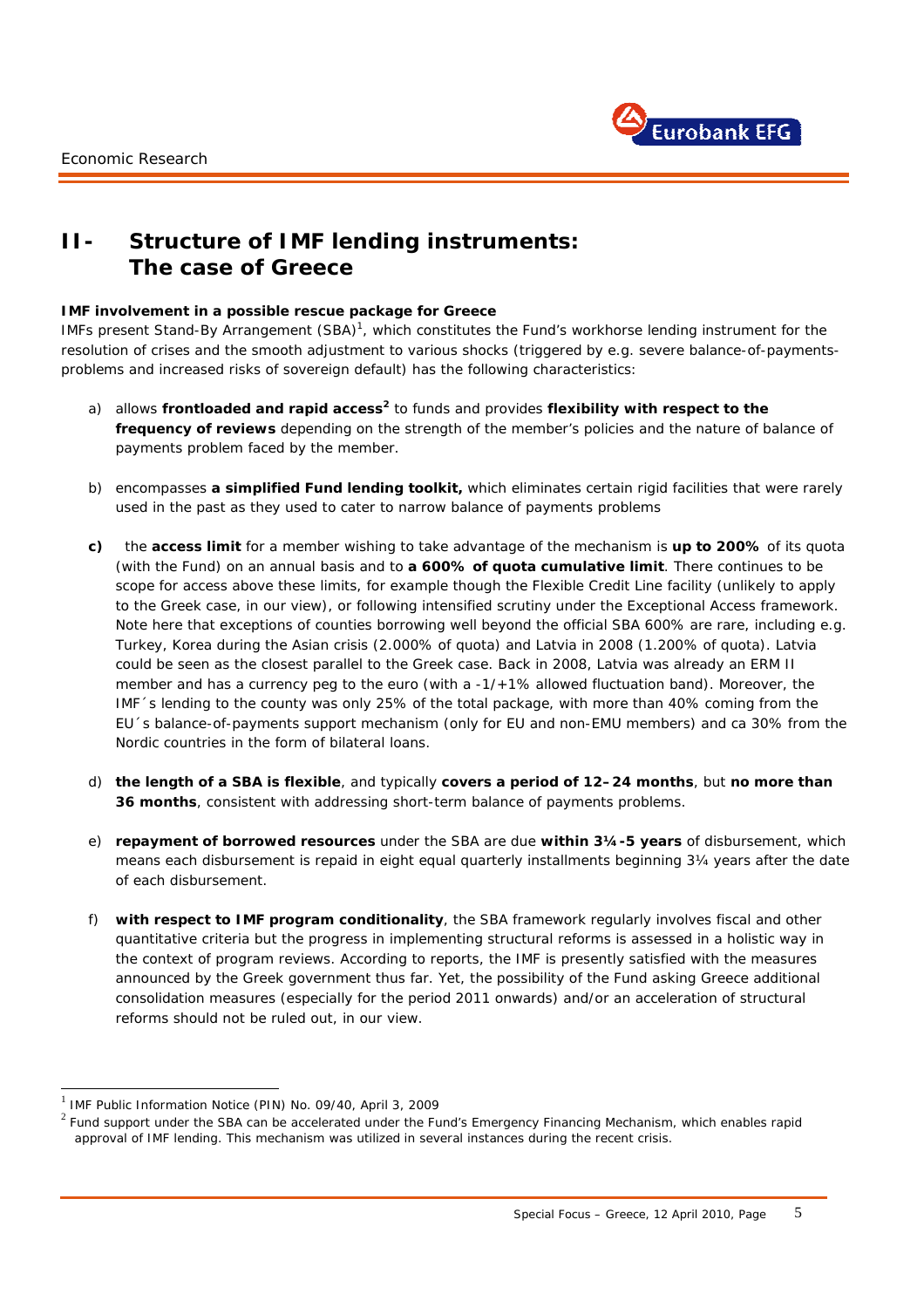

### **II- Structure of IMF lending instruments: The case of Greece**

#### **IMF involvement in a possible rescue package for Greece**

IMFs present Stand-By Arrangement (SBA)<sup>1</sup>, which constitutes the Fund's workhorse lending instrument for the resolution of crises and the smooth adjustment to various shocks *(triggered by e.g. severe balance-of-paymentsproblems and increased risks of sovereign default)* has the following characteristics:

- a) allows **frontloaded and rapid access<sup>2</sup>** to funds and provides **flexibility with respect to the frequency of reviews** depending on the strength of the member's policies and the nature of balance of payments problem faced by the member.
- b) encompasses **a simplified Fund lending toolkit,** which eliminates certain rigid facilities that were rarely used in the past as they used to cater to narrow balance of payments problems
- **c)** the **access limit** for a member wishing to take advantage of the mechanism is **up to 200%** of its quota (with the Fund) on an annual basis and to **a 600% of quota cumulative limit**. There continues to be scope for access above these limits, for example though the Flexible Credit Line facility (unlikely to apply to the Greek case, in our view), or following intensified scrutiny under the Exceptional Access framework. Note here that exceptions of counties borrowing well beyond the official SBA 600% are rare, including *e.g.* Turkey, Korea during the Asian crisis (2.000% of quota) and Latvia in 2008 (1.200% of quota). Latvia could be seen as the closest parallel to the Greek case. Back in 2008, Latvia was already an ERM II member and has a currency peg to the euro *(with a -1/+1% allowed fluctuation band).* Moreover, the IMF´s lending to the county was only 25% of the total package, with more than 40% coming from the EU´s balance-of-payments support mechanism (only for EU and non-EMU members) and ca 30% from the Nordic countries in the form of bilateral loans.
- d) **the length of a SBA is flexible**, and typically **covers a period of 12–24 months**, but **no more than 36 months**, consistent with addressing short-term balance of payments problems.
- e) **repayment of borrowed resources** under the SBA are due **within 3¼-5 years** of disbursement, which means each disbursement is repaid in eight equal quarterly installments beginning 3¼ years after the date of each disbursement.
- f) **with respect to IMF program conditionality**, the SBA framework regularly involves fiscal and other quantitative criteria but the progress in implementing structural reforms is assessed in a holistic way in the context of program reviews. According to reports, the IMF is presently satisfied with the measures announced by the Greek government thus far. Yet, the possibility of the Fund asking Greece additional consolidation measures (especially for the period 2011 onwards) and/or an acceleration of structural reforms should not be ruled out, in our view.

i.

1

 $1$  IMF Public Information Notice (PIN) No. 09/40, April 3, 2009

 $2$  Fund support under the SBA can be accelerated under the Fund's Emergency Financing Mechanism, which enables rapid approval of IMF lending. This mechanism was utilized in several instances during the recent crisis.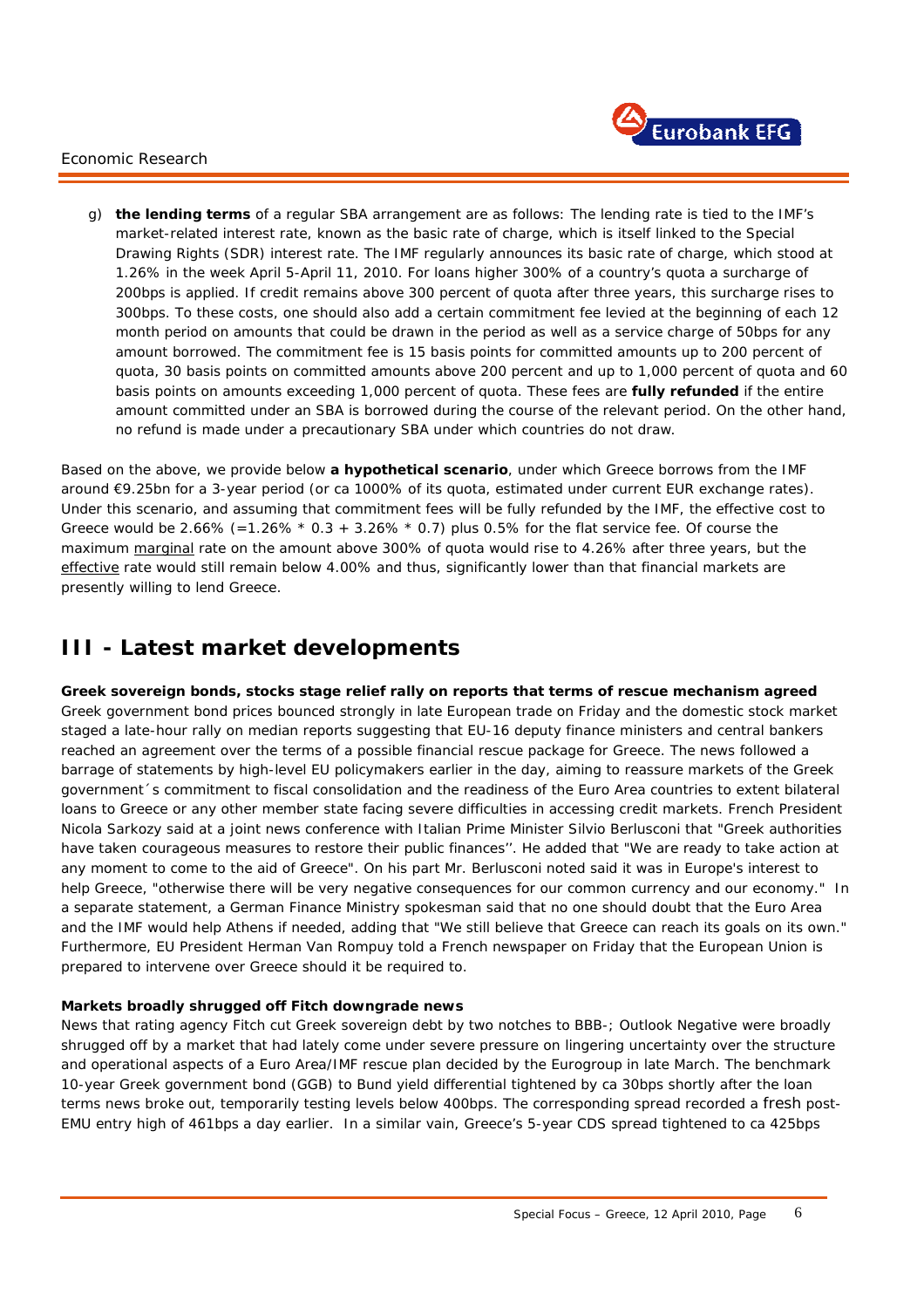

g) **the lending terms** of a regular SBA arrangement are as follows: The lending rate is tied to the IMF's market-related interest rate, known as the *basic rate* of charge, which is itself linked to the *Special Drawing Rights* (SDR) interest rate. The IMF regularly announces its basic rate of charge, which stood at 1.26% in the week April 5-April 11, 2010. For loans higher 300% of a country's quota a surcharge of 200bps is applied. If credit remains above 300 percent of quota after three years, this surcharge rises to 300bps. To these costs, one should also add a certain *commitment fee* levied at the beginning of each 12 month period on amounts that could be drawn in the period as well as a *service charge* of 50bps for any amount borrowed. The commitment fee is 15 basis points for committed amounts up to 200 percent of quota, 30 basis points on committed amounts above 200 percent and up to 1,000 percent of quota and 60 basis points on amounts exceeding 1,000 percent of quota. These fees are **fully refunded** if the entire amount committed under an SBA is borrowed during the course of the relevant period. On the other hand, no refund is made under a precautionary SBA under which countries do not draw.

Based on the above, we provide below **a hypothetical scenario**, under which Greece borrows from the IMF around €9.25bn for a 3-year period (or ca 1000% of its quota, estimated under current EUR exchange rates). Under this scenario, and assuming that commitment fees will be fully refunded by the IMF, the effective cost to Greece would be 2.66% (=1.26%  $*$  0.3 + 3.26%  $*$  0.7) plus 0.5% for the flat service fee. Of course the maximum marginal rate on the amount above 300% of quota would rise to 4.26% after three years, but the effective rate would still remain below 4.00% and thus, significantly lower than that financial markets are presently willing to lend Greece.

# **III - Latest market developments**

**Greek sovereign bonds, stocks stage relief rally on reports that terms of rescue mechanism agreed**  Greek government bond prices bounced strongly in late European trade on Friday and the domestic stock market staged a late-hour rally on median reports suggesting that EU-16 deputy finance ministers and central bankers reached an agreement over the terms of a possible financial rescue package for Greece. The news followed a barrage of statements by high-level EU policymakers earlier in the day, aiming to reassure markets of the Greek government´s commitment to fiscal consolidation and the readiness of the Euro Area countries to extent bilateral loans to Greece or any other member state facing severe difficulties in accessing credit markets. French President Nicola Sarkozy said at a joint news conference with Italian Prime Minister Silvio Berlusconi that "Greek authorities have taken courageous measures to restore their public finances''. He added that "We are ready to take action at any moment to come to the aid of Greece". On his part Mr. Berlusconi noted said it was in Europe's interest to help Greece, "otherwise there will be very negative consequences for our common currency and our economy." In a separate statement, a German Finance Ministry spokesman said that no one should doubt that the Euro Area and the IMF would help Athens if needed, adding that "We still believe that Greece can reach its goals on its own." Furthermore, EU President Herman Van Rompuy told a French newspaper on Friday that the European Union is prepared to intervene over Greece should it be required to.

### **Markets broadly shrugged off Fitch downgrade news**

i.

News that rating agency Fitch cut Greek sovereign debt by two notches to *BBB-; Outlook Negative* were broadly shrugged off by a market that had lately come under severe pressure on lingering uncertainty over the structure and operational aspects of a Euro Area/IMF rescue plan decided by the Eurogroup in late March. The benchmark 10-year Greek government bond (GGB) to Bund yield differential tightened by ca 30bps shortly after the loan terms news broke out, temporarily testing levels below 400bps. The corresponding spread recorded a fresh post-EMU entry high of 461bps a day earlier. In a similar vain, Greece's 5-year CDS spread tightened to ca 425bps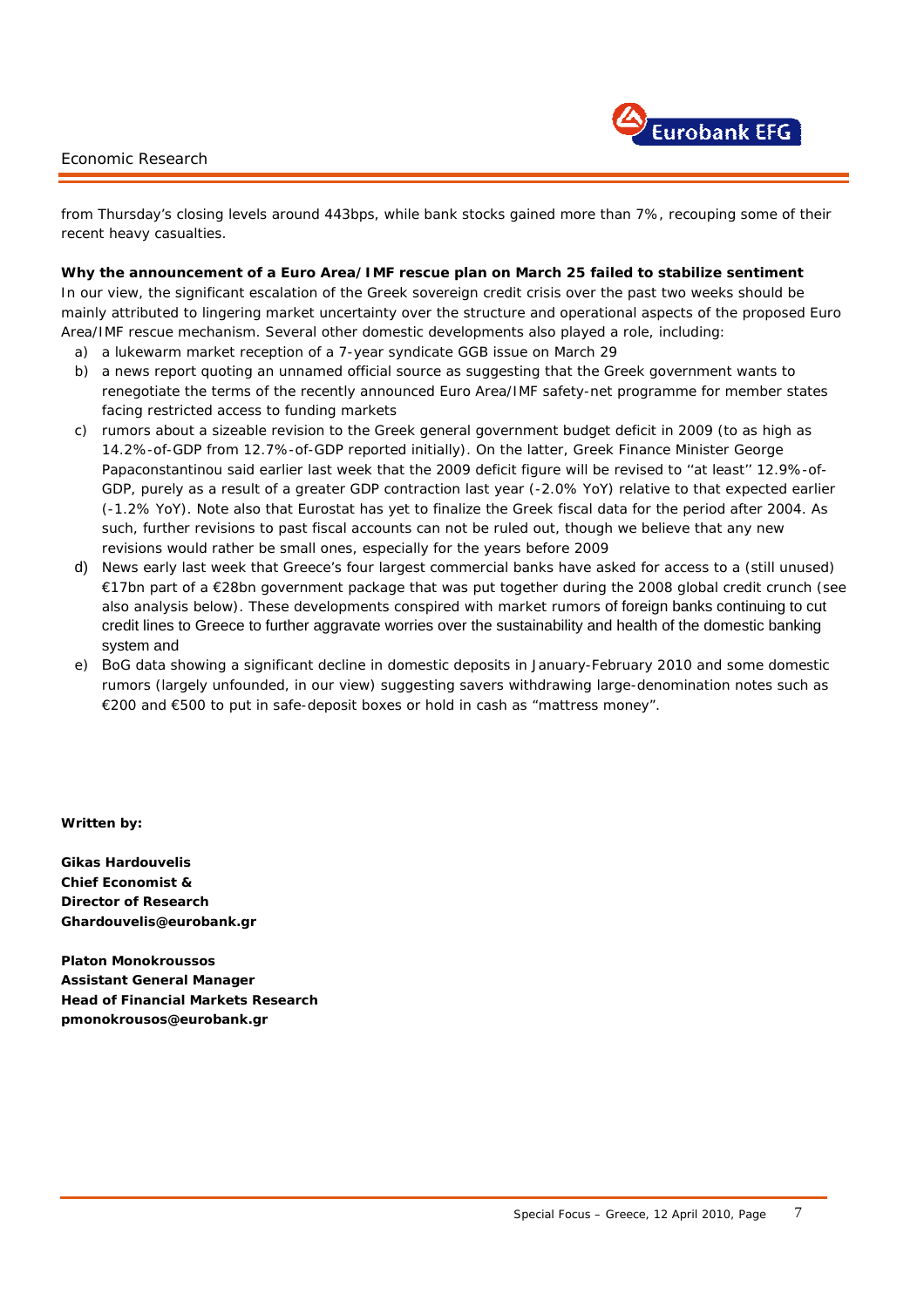

from Thursday's closing levels around 443bps, while bank stocks gained more than 7%, recouping some of their recent heavy casualties.

**Why the announcement of a Euro Area/IMF rescue plan on March 25 failed to stabilize sentiment**  In our view, the significant escalation of the Greek sovereign credit crisis over the past two weeks should be mainly attributed to lingering market uncertainty over the structure and operational aspects of the proposed Euro Area/IMF rescue mechanism. Several other domestic developments also played a role, including:

- a) a lukewarm market reception of a 7-year syndicate GGB issue on March 29
- b) a news report quoting an unnamed official source as suggesting that the Greek government wants to renegotiate the terms of the recently announced Euro Area/IMF safety-net programme for member states facing restricted access to funding markets
- c) rumors about a sizeable revision to the Greek general government budget deficit in 2009 *(to as high as 14.2%-of-GDP from 12.7%-of-GDP reported initially).* On the latter, Greek Finance Minister George Papaconstantinou said earlier last week that the 2009 deficit figure will be revised to "at least" 12.9%-of-GDP, purely as a result of a greater GDP contraction last year (-2.0% YoY) relative to that expected earlier (-1.2% YoY). Note also that Eurostat has yet to finalize the Greek fiscal data for the period after 2004. As such, further revisions to past fiscal accounts can not be ruled out, though we believe that any new revisions would rather be small ones, especially for the years before 2009
- d) News early last week that Greece's four largest commercial banks have asked for access to a *(still unused)* €17bn part of a €28bn government package that was put together during the 2008 global credit crunch *(see also analysis below).* These developments conspired with market rumors of foreign banks continuing to cut credit lines to Greece to further aggravate worries over the sustainability and health of the domestic banking system and
- e) BoG data showing a significant decline in domestic deposits in January-February 2010 and some domestic rumors *(largely unfounded, in our view)* suggesting savers withdrawing large-denomination notes such as €200 and €500 to put in safe-deposit boxes or hold in cash as "mattress money".

*Written by:* 

i.

**Gikas Hardouvelis Chief Economist & Director of Research Ghardouvelis@eurobank.gr** 

**Platon Monokroussos Assistant General Manager Head of Financial Markets Research pmonokrousos@eurobank.gr**